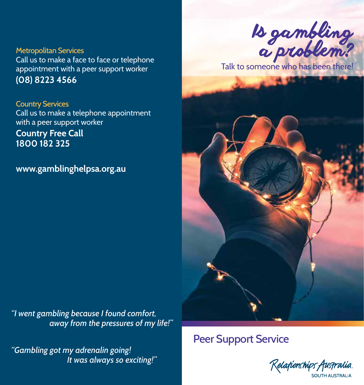Metropolitan Services Call us to make a face to face or telephone appointment with a peer support worker **(08) 8223 4566**

Country Services Call us to make a telephone appointment with a peer support worker **Country Free Call 1800 182 325**

**www.gamblinghelpsa.org.au** 

*"I went gambling because I found comfort, away from the pressures of my life!"*

*"Gambling got my adrenalin going! It was always so exciting!"* 



Talk to someone who has been there!



# Peer Support Service

Kelafionships Australia. SOUTH AUSTRALIA